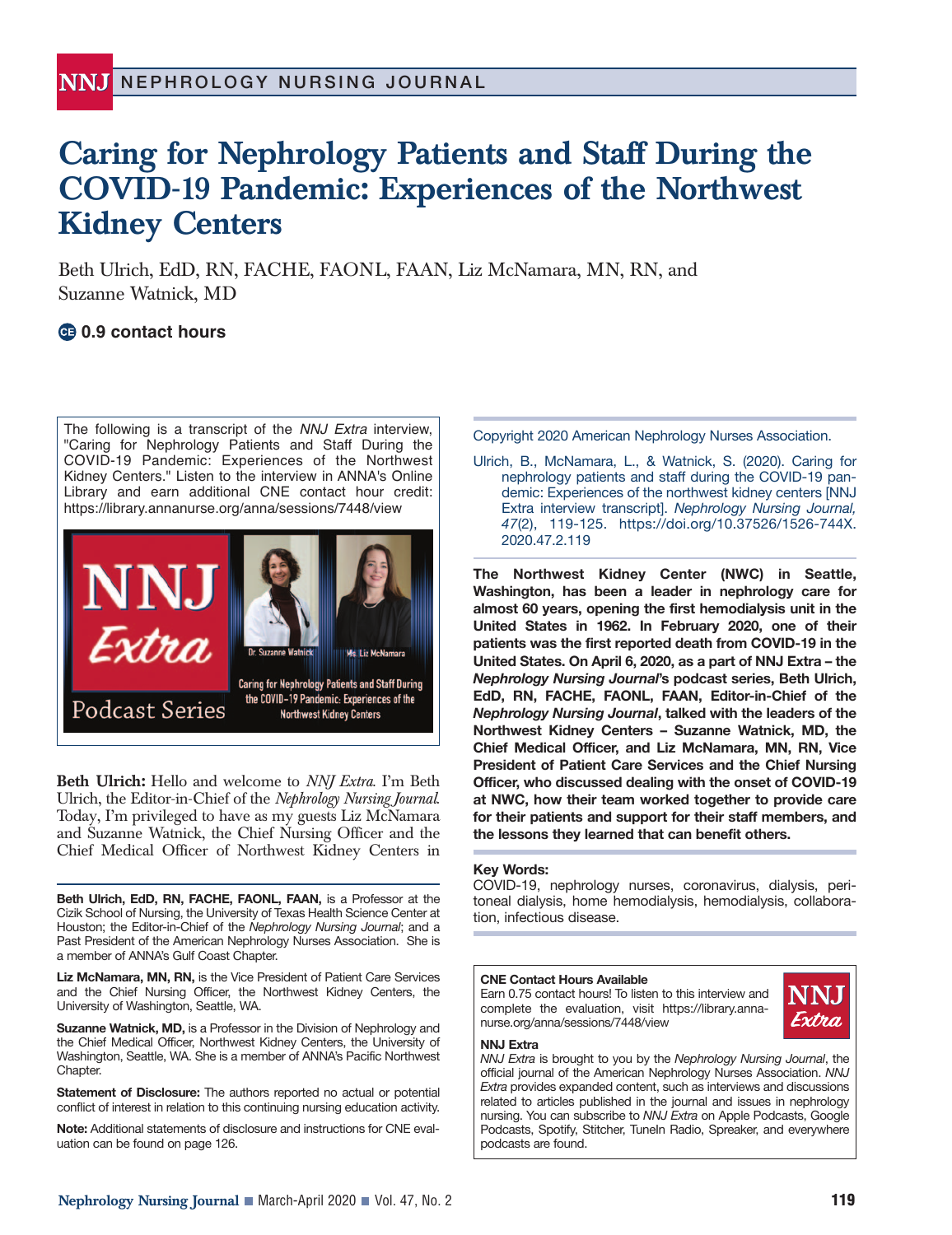# **Caring for Nephrology Patients and Staff During the COVID-19 Pandemic: Experiences of the Northwest Kidney Centers**

Beth Ulrich, EdD, RN, FACHE, FAONL, FAAN, Liz McNamara, MN, RN, and Suzanne Watnick, MD

# **0.9 contact hours**

The following is a transcript of the NNJ Extra interview, "Caring for Nephrology Patients and Staff During the COVID-19 Pandemic: Experiences of the Northwest Kidney Centers." Listen to the interview in ANNA's Online Library and earn additional CNE contact hour credit: https://library.annanurse.org/anna/sessions/7448/view



**Beth Ulrich:** Hello and welcome to *NNJ Extra*. I'm Beth Ulrich, the Editor-in-Chief of the *Nephrology Nursing Journal*. Today, I'm privileged to have as my guests Liz McNamara and Suzanne Watnick, the Chief Nursing Officer and the Chief Medical Officer of Northwest Kidney Centers in

**Beth Ulrich, EdD, RN, FACHE, FAONL, FAAN,** is a Professor at the Cizik School of Nursing, the University of Texas Health Science Center at Houston; the Editor-in-Chief of the *Nephrology Nursing Journal*; and a Past President of the American Nephrology Nurses Association. She is a member of ANNA's Gulf Coast Chapter.

**Liz McNamara, MN, RN,** is the Vice President of Patient Care Services and the Chief Nursing Officer, the Northwest Kidney Centers, the University of Washington, Seattle, WA.

**Suzanne Watnick, MD,** is a Professor in the Division of Nephrology and the Chief Medical Officer, Northwest Kidney Centers, the University of Washington, Seattle, WA. She is a member of ANNA's Pacific Northwest Chapter.

**Statement of Disclosure:** The authors reported no actual or potential conflict of interest in relation to this continuing nursing education activity.

**Note:** Additional statements of disclosure and instructions for CNE evaluation can be found on page 126.

Copyright 2020 American Nephrology Nurses Association.

Ulrich, B., McNamara, L., & Watnick, S. (2020). Caring for nephrology patients and staff during the COVID-19 pandemic: Experiences of the northwest kidney centers [NNJ Extra interview transcript]. *Nephrology Nursing Journal, 47*(2), 119-125. https://doi.org/10.37526/1526-744X. 2020.47.2.119

**The Northwest Kidney Center (NWC) in Seattle, Washington, has been a leader in nephrology care for almost 60 years, opening the first hemodialysis unit in the United States in 1962. In February 2020, one of their patients was the first reported death from COVID-19 in the United States. On April 6, 2020, as a part of NNJ Extra – the** *Nephrology Nursing Journal***'s podcast series, Beth Ulrich, EdD, RN, FACHE, FAONL, FAAN, Editor-in-Chief of the** *Nephrology Nursing Journal***, talked with the leaders of the Northwest Kidney Centers – Suzanne Watnick, MD, the Chief Medical Officer, and Liz McNamara, MN, RN, Vice President of Patient Care Services and the Chief Nursing Officer, who discussed dealing with the onset of COVID-19 at NWC, how their team worked together to provide care for their patients and support for their staff members, and the lessons they learned that can benefit others.**

#### **Key Words:**

COVID-19, nephrology nurses, coronavirus, dialysis, peritoneal dialysis, home hemodialysis, hemodialysis, collaboration, infectious disease.

#### **CNE Contact Hours Available**

Earn 0.75 contact hours! To listen to this interview and complete the evaluation, visit https://library.annanurse.org/anna/sessions/7448/view



#### **NNJ Extra**

*NNJ Extra* is brought to you by the *Nephrology Nursing Journal*, the official journal of the American Nephrology Nurses Association. *NNJ Extra* provides expanded content, such as interviews and discussions related to articles published in the journal and issues in nephrology nursing. You can subscribe to *NNJ Extra* on Apple Podcasts, Google Podcasts, Spotify, Stitcher, TuneIn Radio, Spreaker, and everywhere podcasts are found.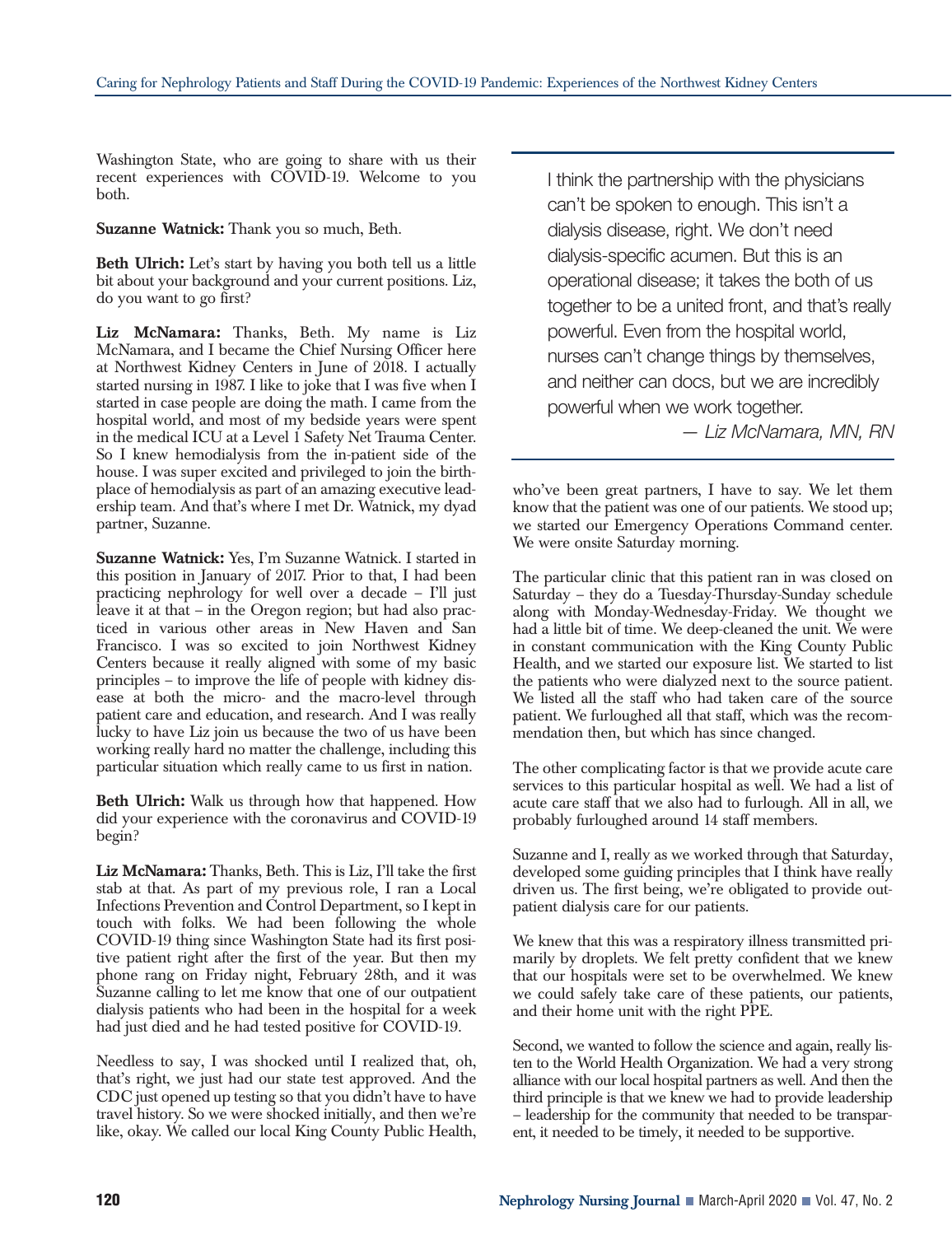Washington State, who are going to share with us their recent experiences with COVID-19. Welcome to you both.

**Suzanne Watnick:** Thank you so much, Beth.

**Beth Ulrich:** Let's start by having you both tell us a little bit about your background and your current positions. Liz, do you want to go first?

**Liz McNamara:** Thanks, Beth. My name is Liz McNamara, and I became the Chief Nursing Officer here at Northwest Kidney Centers in June of 2018. I actually started nursing in 1987. I like to joke that I was five when I started in case people are doing the math. I came from the hospital world, and most of my bedside years were spent in the medical ICU at a Level 1 Safety Net Trauma Center. So I knew hemodialysis from the in-patient side of the house. I was super excited and privileged to join the birthplace of hemodialysis as part of an amazing executive leadership team. And that's where I met Dr. Watnick, my dyad partner, Suzanne.

**Suzanne Watnick:** Yes, I'm Suzanne Watnick. I started in this position in January of 2017. Prior to that, I had been practicing nephrology for well over a decade – I'll just leave it at that – in the Oregon region; but had also practiced in various other areas in New Haven and San Francisco. I was so excited to join Northwest Kidney Centers because it really aligned with some of my basic principles – to improve the life of people with kidney disease at both the micro- and the macro-level through patient care and education, and research. And I was really lucky to have Liz join us because the two of us have been working really hard no matter the challenge, including this particular situation which really came to us first in nation.

**Beth Ulrich:** Walk us through how that happened. How did your experience with the coronavirus and COVID-19 begin?

**Liz McNamara:** Thanks, Beth. This is Liz, I'll take the first stab at that. As part of my previous role, I ran a Local Infections Prevention and Control Department, so I kept in touch with folks. We had been following the whole COVID-19 thing since Washington State had its first positive patient right after the first of the year. But then my phone rang on Friday night, February 28th, and it was Suzanne calling to let me know that one of our outpatient dialysis patients who had been in the hospital for a week had just died and he had tested positive for COVID-19.

Needless to say, I was shocked until I realized that, oh, that's right, we just had our state test approved. And the CDC just opened up testing so that you didn't have to have travel history. So we were shocked initially, and then we're like, okay. We called our local King County Public Health, I think the partnership with the physicians can't be spoken to enough. This isn't a dialysis disease, right. We don't need dialysis-specific acumen. But this is an operational disease; it takes the both of us together to be a united front, and that's really powerful. Even from the hospital world, nurses can't change things by themselves, and neither can docs, but we are incredibly powerful when we work together.

*— Liz McNamara, MN, RN*

who've been great partners, I have to say. We let them know that the patient was one of our patients. We stood up; we started our Emergency Operations Command center. We were onsite Saturday morning.

The particular clinic that this patient ran in was closed on Saturday – they do a Tuesday-Thursday-Sunday schedule along with Monday-Wednesday-Friday. We thought we had a little bit of time. We deep-cleaned the unit. We were in constant communication with the King County Public Health, and we started our exposure list. We started to list the patients who were dialyzed next to the source patient. We listed all the staff who had taken care of the source patient. We furloughed all that staff, which was the recommendation then, but which has since changed.

The other complicating factor is that we provide acute care services to this particular hospital as well. We had a list of acute care staff that we also had to furlough. All in all, we probably furloughed around 14 staff members.

Suzanne and I, really as we worked through that Saturday, developed some guiding principles that I think have really driven us. The first being, we're obligated to provide outpatient dialysis care for our patients.

We knew that this was a respiratory illness transmitted primarily by droplets. We felt pretty confident that we knew that our hospitals were set to be overwhelmed. We knew we could safely take care of these patients, our patients, and their home unit with the right PPE.

Second, we wanted to follow the science and again, really listen to the World Health Organization. We had a very strong alliance with our local hospital partners as well. And then the third principle is that we knew we had to provide leadership – leadership for the community that needed to be transparent, it needed to be timely, it needed to be supportive.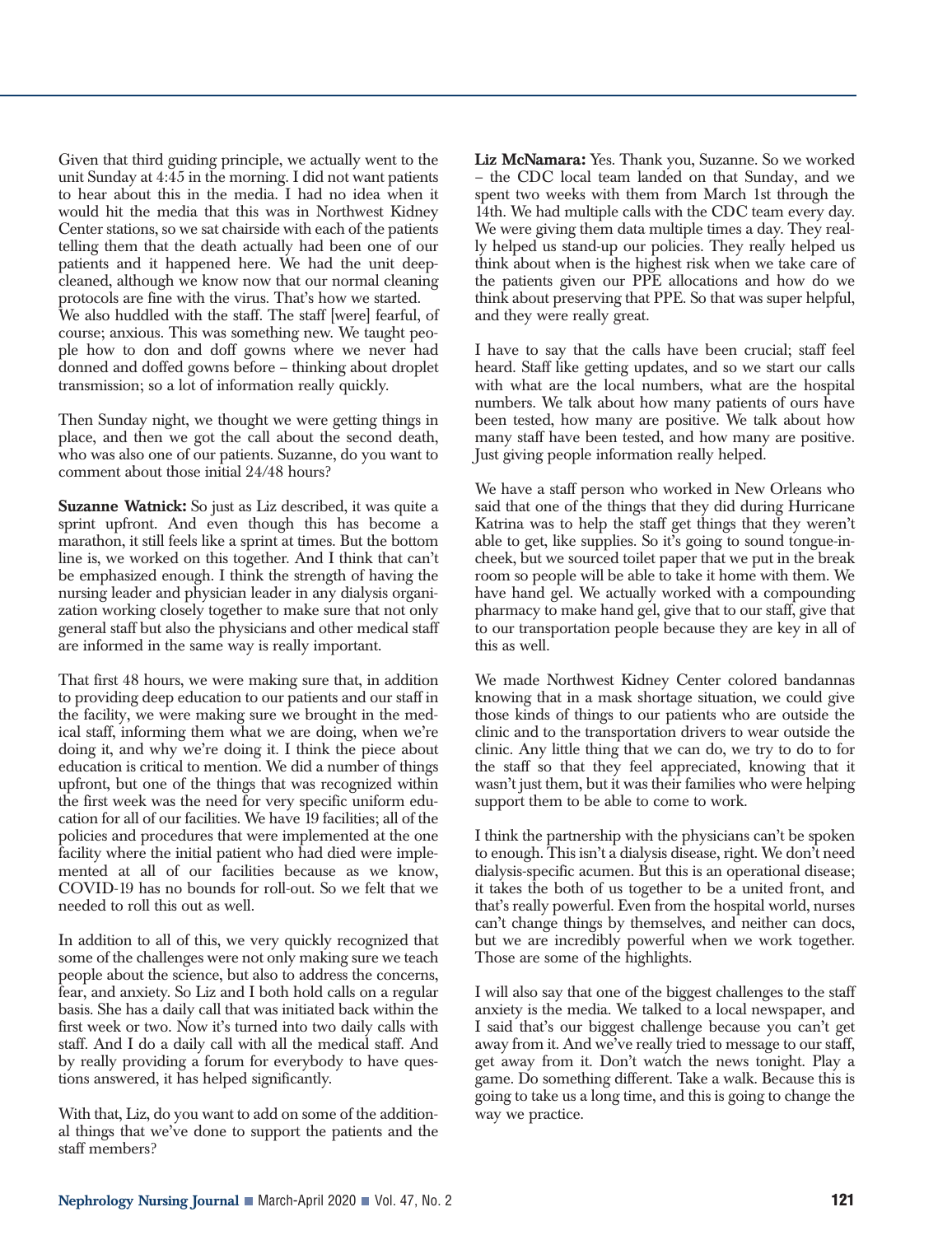Given that third guiding principle, we actually went to the unit Sunday at 4:45 in the morning. I did not want patients to hear about this in the media. I had no idea when it would hit the media that this was in Northwest Kidney Center stations, so we sat chairside with each of the patients telling them that the death actually had been one of our patients and it happened here. We had the unit deepcleaned, although we know now that our normal cleaning protocols are fine with the virus. That's how we started. We also huddled with the staff. The staff [were] fearful, of course; anxious. This was something new. We taught people how to don and doff gowns where we never had donned and doffed gowns before – thinking about droplet transmission; so a lot of information really quickly.

Then Sunday night, we thought we were getting things in place, and then we got the call about the second death, who was also one of our patients. Suzanne, do you want to comment about those initial 24/48 hours?

**Suzanne Watnick:** So just as Liz described, it was quite a sprint upfront. And even though this has become a marathon, it still feels like a sprint at times. But the bottom line is, we worked on this together. And I think that can't be emphasized enough. I think the strength of having the nursing leader and physician leader in any dialysis organization working closely together to make sure that not only general staff but also the physicians and other medical staff are informed in the same way is really important.

That first 48 hours, we were making sure that, in addition to providing deep education to our patients and our staff in the facility, we were making sure we brought in the medical staff, informing them what we are doing, when we're doing it, and why we're doing it. I think the piece about education is critical to mention. We did a number of things upfront, but one of the things that was recognized within the first week was the need for very specific uniform education for all of our facilities. We have 19 facilities; all of the policies and procedures that were implemented at the one facility where the initial patient who had died were implemented at all of our facilities because as we know, COVID-19 has no bounds for roll-out. So we felt that we needed to roll this out as well.

In addition to all of this, we very quickly recognized that some of the challenges were not only making sure we teach people about the science, but also to address the concerns, fear, and anxiety. So Liz and I both hold calls on a regular basis. She has a daily call that was initiated back within the first week or two. Now it's turned into two daily calls with staff. And I do a daily call with all the medical staff. And by really providing a forum for everybody to have questions answered, it has helped significantly.

With that, Liz, do you want to add on some of the additional things that we've done to support the patients and the staff members?

**Liz McNamara:** Yes. Thank you, Suzanne. So we worked – the CDC local team landed on that Sunday, and we spent two weeks with them from March 1st through the 14th. We had multiple calls with the CDC team every day. We were giving them data multiple times a day. They really helped us stand-up our policies. They really helped us think about when is the highest risk when we take care of the patients given our PPE allocations and how do we think about preserving that PPE. So that was super helpful, and they were really great.

I have to say that the calls have been crucial; staff feel heard. Staff like getting updates, and so we start our calls with what are the local numbers, what are the hospital numbers. We talk about how many patients of ours have been tested, how many are positive. We talk about how many staff have been tested, and how many are positive. Just giving people information really helped.

We have a staff person who worked in New Orleans who said that one of the things that they did during Hurricane Katrina was to help the staff get things that they weren't able to get, like supplies. So it's going to sound tongue-incheek, but we sourced toilet paper that we put in the break room so people will be able to take it home with them. We have hand gel. We actually worked with a compounding pharmacy to make hand gel, give that to our staff, give that to our transportation people because they are key in all of this as well.

We made Northwest Kidney Center colored bandannas knowing that in a mask shortage situation, we could give those kinds of things to our patients who are outside the clinic and to the transportation drivers to wear outside the clinic. Any little thing that we can do, we try to do to for the staff so that they feel appreciated, knowing that it wasn't just them, but it was their families who were helping support them to be able to come to work.

I think the partnership with the physicians can't be spoken to enough. This isn't a dialysis disease, right. We don't need dialysis-specific acumen. But this is an operational disease; it takes the both of us together to be a united front, and that's really powerful. Even from the hospital world, nurses can't change things by themselves, and neither can docs, but we are incredibly powerful when we work together. Those are some of the highlights.

I will also say that one of the biggest challenges to the staff anxiety is the media. We talked to a local newspaper, and I said that's our biggest challenge because you can't get away from it. And we've really tried to message to our staff, get away from it. Don't watch the news tonight. Play a game. Do something different. Take a walk. Because this is going to take us a long time, and this is going to change the way we practice.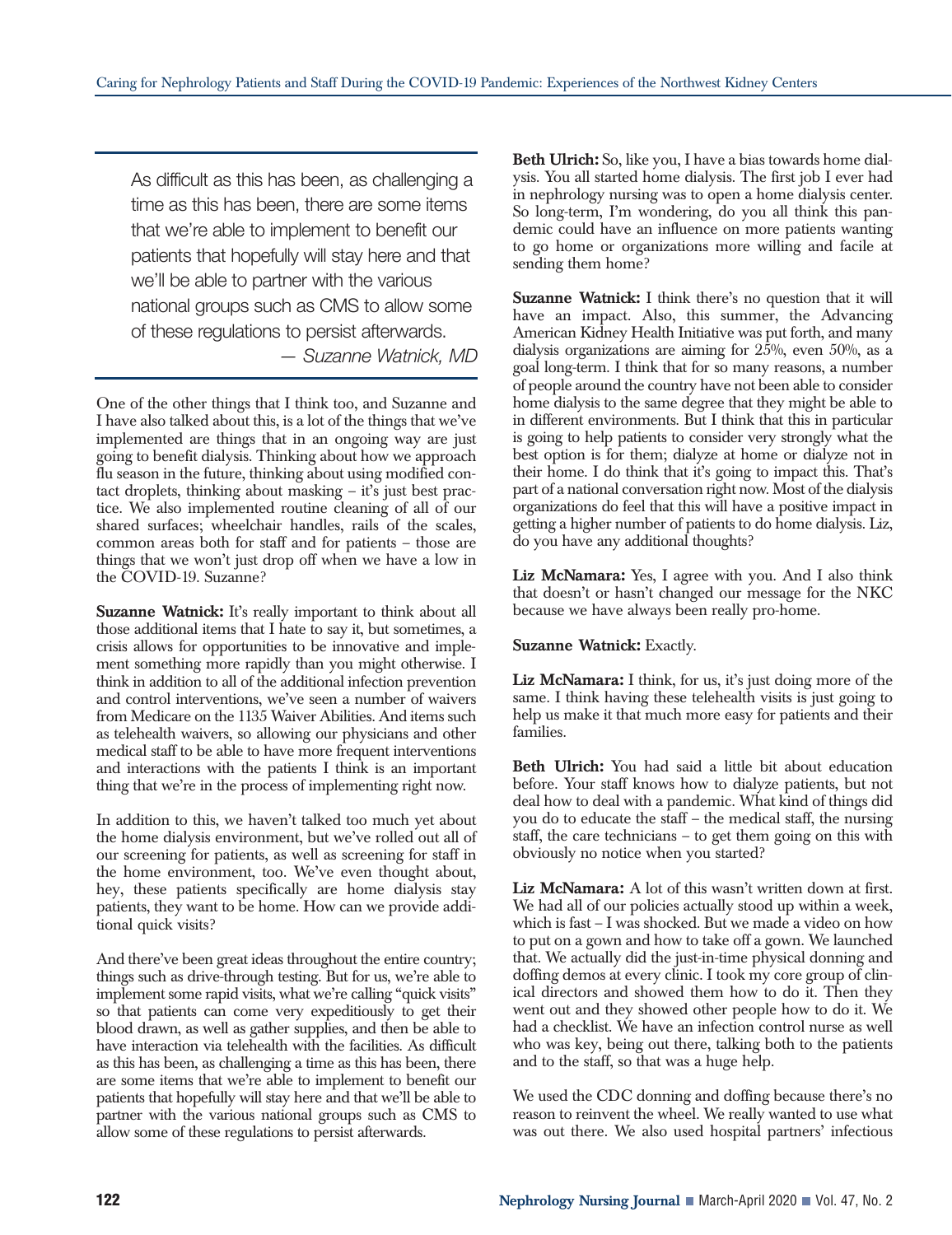As difficult as this has been, as challenging a time as this has been, there are some items that we're able to implement to benefit our patients that hopefully will stay here and that we'll be able to partner with the various national groups such as CMS to allow some of these regulations to persist afterwards. *— Suzanne Watnick, MD*

One of the other things that I think too, and Suzanne and I have also talked about this, is a lot of the things that we've implemented are things that in an ongoing way are just going to benefit dialysis. Thinking about how we approach flu season in the future, thinking about using modified contact droplets, thinking about masking – it's just best practice. We also implemented routine cleaning of all of our shared surfaces; wheelchair handles, rails of the scales, common areas both for staff and for patients – those are things that we won't just drop off when we have a low in the COVID-19. Suzanne?

**Suzanne Watnick:** It's really important to think about all those additional items that I hate to say it, but sometimes, a crisis allows for opportunities to be innovative and implement something more rapidly than you might otherwise. I think in addition to all of the additional infection prevention and control interventions, we've seen a number of waivers from Medicare on the 1135 Waiver Abilities. And items such as telehealth waivers, so allowing our physicians and other medical staff to be able to have more frequent interventions and interactions with the patients I think is an important thing that we're in the process of implementing right now.

In addition to this, we haven't talked too much yet about the home dialysis environment, but we've rolled out all of our screening for patients, as well as screening for staff in the home environment, too. We've even thought about, hey, these patients specifically are home dialysis stay patients, they want to be home. How can we provide additional quick visits?

And there've been great ideas throughout the entire country; things such as drive-through testing. But for us, we're able to implement some rapid visits, what we're calling "quick visits" so that patients can come very expeditiously to get their blood drawn, as well as gather supplies, and then be able to have interaction via telehealth with the facilities. As difficult as this has been, as challenging a time as this has been, there are some items that we're able to implement to benefit our patients that hopefully will stay here and that we'll be able to partner with the various national groups such as CMS to allow some of these regulations to persist afterwards.

**Beth Ulrich:** So, like you, I have a bias towards home dialysis. You all started home dialysis. The first job I ever had in nephrology nursing was to open a home dialysis center. So long-term, I'm wondering, do you all think this pandemic could have an influence on more patients wanting to go home or organizations more willing and facile at sending them home?

**Suzanne Watnick:** I think there's no question that it will have an impact. Also, this summer, the Advancing American Kidney Health Initiative was put forth, and many dialysis organizations are aiming for  $25\%$ , even  $50\%$ , as a goal long-term. I think that for so many reasons, a number of people around the country have not been able to consider home dialysis to the same degree that they might be able to in different environments. But I think that this in particular is going to help patients to consider very strongly what the best option is for them; dialyze at home or dialyze not in their home. I do think that it's going to impact this. That's part of a national conversation right now. Most of the dialysis organizations do feel that this will have a positive impact in getting a higher number of patients to do home dialysis. Liz, do you have any additional thoughts?

**Liz McNamara:** Yes, I agree with you. And I also think that doesn't or hasn't changed our message for the NKC because we have always been really pro-home.

**Suzanne Watnick:** Exactly.

**Liz McNamara:** I think, for us, it's just doing more of the same. I think having these telehealth visits is just going to help us make it that much more easy for patients and their families.

**Beth Ulrich:** You had said a little bit about education before. Your staff knows how to dialyze patients, but not deal how to deal with a pandemic. What kind of things did you do to educate the staff – the medical staff, the nursing staff, the care technicians – to get them going on this with obviously no notice when you started?

Liz McNamara: A lot of this wasn't written down at first. We had all of our policies actually stood up within a week, which is fast – I was shocked. But we made a video on how to put on a gown and how to take off a gown. We launched that. We actually did the just-in-time physical donning and doffing demos at every clinic. I took my core group of clinical directors and showed them how to do it. Then they went out and they showed other people how to do it. We had a checklist. We have an infection control nurse as well who was key, being out there, talking both to the patients and to the staff, so that was a huge help.

We used the CDC donning and doffing because there's no reason to reinvent the wheel. We really wanted to use what was out there. We also used hospital partners' infectious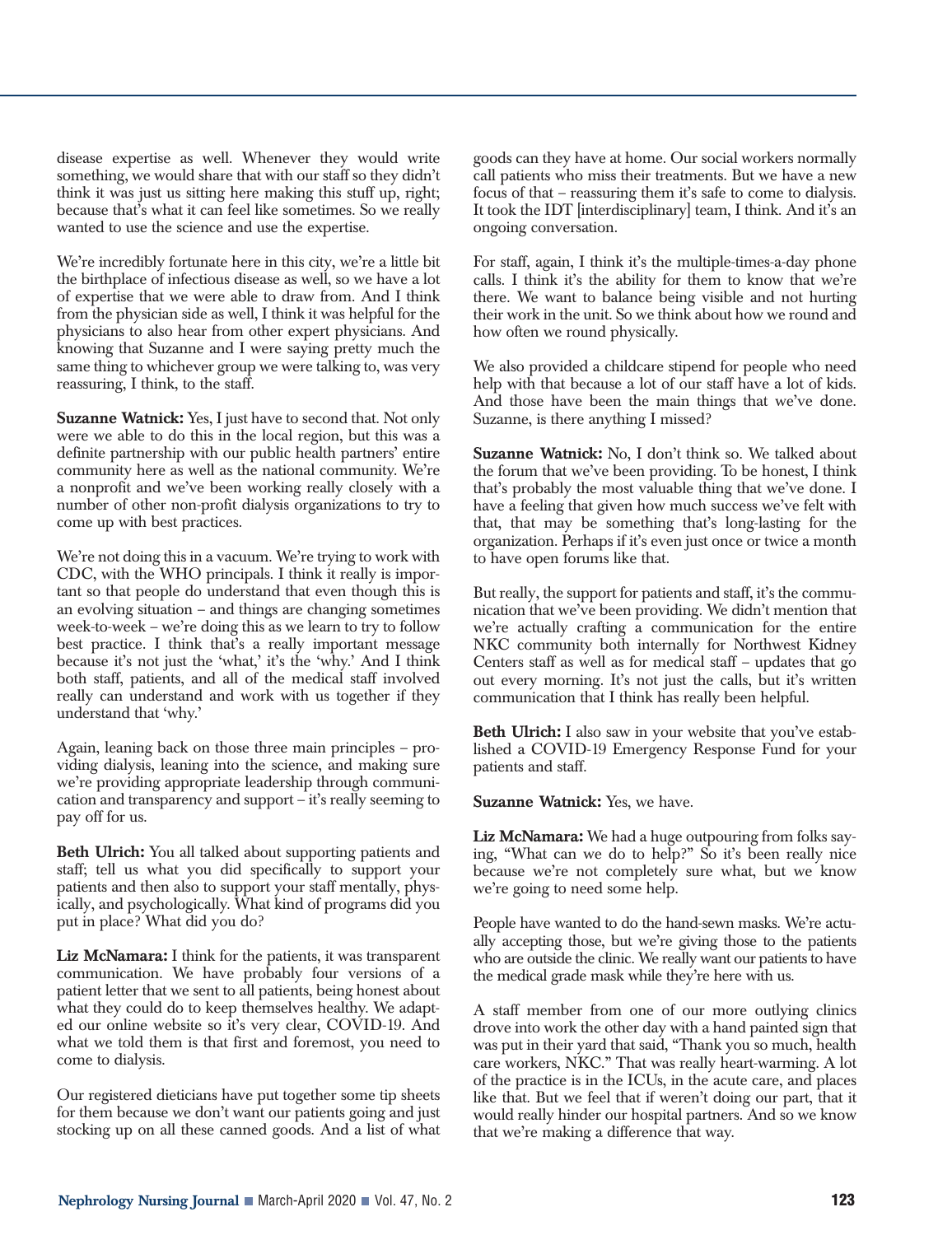disease expertise as well. Whenever they would write something, we would share that with our staff so they didn't think it was just us sitting here making this stuff up, right; because that's what it can feel like sometimes. So we really wanted to use the science and use the expertise.

We're incredibly fortunate here in this city, we're a little bit the birthplace of infectious disease as well, so we have a lot of expertise that we were able to draw from. And I think from the physician side as well, I think it was helpful for the physicians to also hear from other expert physicians. And knowing that Suzanne and I were saying pretty much the same thing to whichever group we were talking to, was very reassuring, I think, to the staff.

**Suzanne Watnick:** Yes, I just have to second that. Not only were we able to do this in the local region, but this was a definite partnership with our public health partners' entire community here as well as the national community. We're a nonprofit and we've been working really closely with a number of other non-profit dialysis organizations to try to come up with best practices.

We're not doing this in a vacuum. We're trying to work with CDC, with the WHO principals. I think it really is important so that people do understand that even though this is an evolving situation – and things are changing sometimes week-to-week – we're doing this as we learn to try to follow best practice. I think that's a really important message because it's not just the 'what,' it's the 'why.' And I think both staff, patients, and all of the medical staff involved really can understand and work with us together if they understand that 'why.'

Again, leaning back on those three main principles – providing dialysis, leaning into the science, and making sure we're providing appropriate leadership through communication and transparency and support – it's really seeming to pay off for us.

**Beth Ulrich:** You all talked about supporting patients and staff; tell us what you did specifically to support your patients and then also to support your staff mentally, physically, and psychologically. What kind of programs did you put in place? What did you do?

**Liz McNamara:** I think for the patients, it was transparent communication. We have probably four versions of a patient letter that we sent to all patients, being honest about what they could do to keep themselves healthy. We adapted our online website so it's very clear, COVID-19. And what we told them is that first and foremost, you need to come to dialysis.

Our registered dieticians have put together some tip sheets for them because we don't want our patients going and just stocking up on all these canned goods. And a list of what goods can they have at home. Our social workers normally call patients who miss their treatments. But we have a new focus of that – reassuring them it's safe to come to dialysis. It took the IDT [interdisciplinary] team, I think. And it's an ongoing conversation.

For staff, again, I think it's the multiple-times-a-day phone calls. I think it's the ability for them to know that we're there. We want to balance being visible and not hurting their work in the unit. So we think about how we round and how often we round physically.

We also provided a childcare stipend for people who need help with that because a lot of our staff have a lot of kids. And those have been the main things that we've done. Suzanne, is there anything I missed?

**Suzanne Watnick:** No, I don't think so. We talked about the forum that we've been providing. To be honest, I think that's probably the most valuable thing that we've done. I have a feeling that given how much success we've felt with that, that may be something that's long-lasting for the organization. Perhaps if it's even just once or twice a month to have open forums like that.

But really, the support for patients and staff, it's the communication that we've been providing. We didn't mention that we're actually crafting a communication for the entire NKC community both internally for Northwest Kidney Centers staff as well as for medical staff – updates that go out every morning. It's not just the calls, but it's written communication that I think has really been helpful.

**Beth Ulrich:** I also saw in your website that you've established a COVID-19 Emergency Response Fund for your patients and staff.

**Suzanne Watnick:** Yes, we have.

**Liz McNamara:** We had a huge outpouring from folks saying, "What can we do to help?" So it's been really nice because we're not completely sure what, but we know we're going to need some help.

People have wanted to do the hand-sewn masks. We're actually accepting those, but we're giving those to the patients who are outside the clinic. We really want our patients to have the medical grade mask while they're here with us.

A staff member from one of our more outlying clinics drove into work the other day with a hand painted sign that was put in their yard that said, "Thank you so much, health care workers, NKC." That was really heart-warming. A lot of the practice is in the ICUs, in the acute care, and places like that. But we feel that if weren't doing our part, that it would really hinder our hospital partners. And so we know that we're making a difference that way.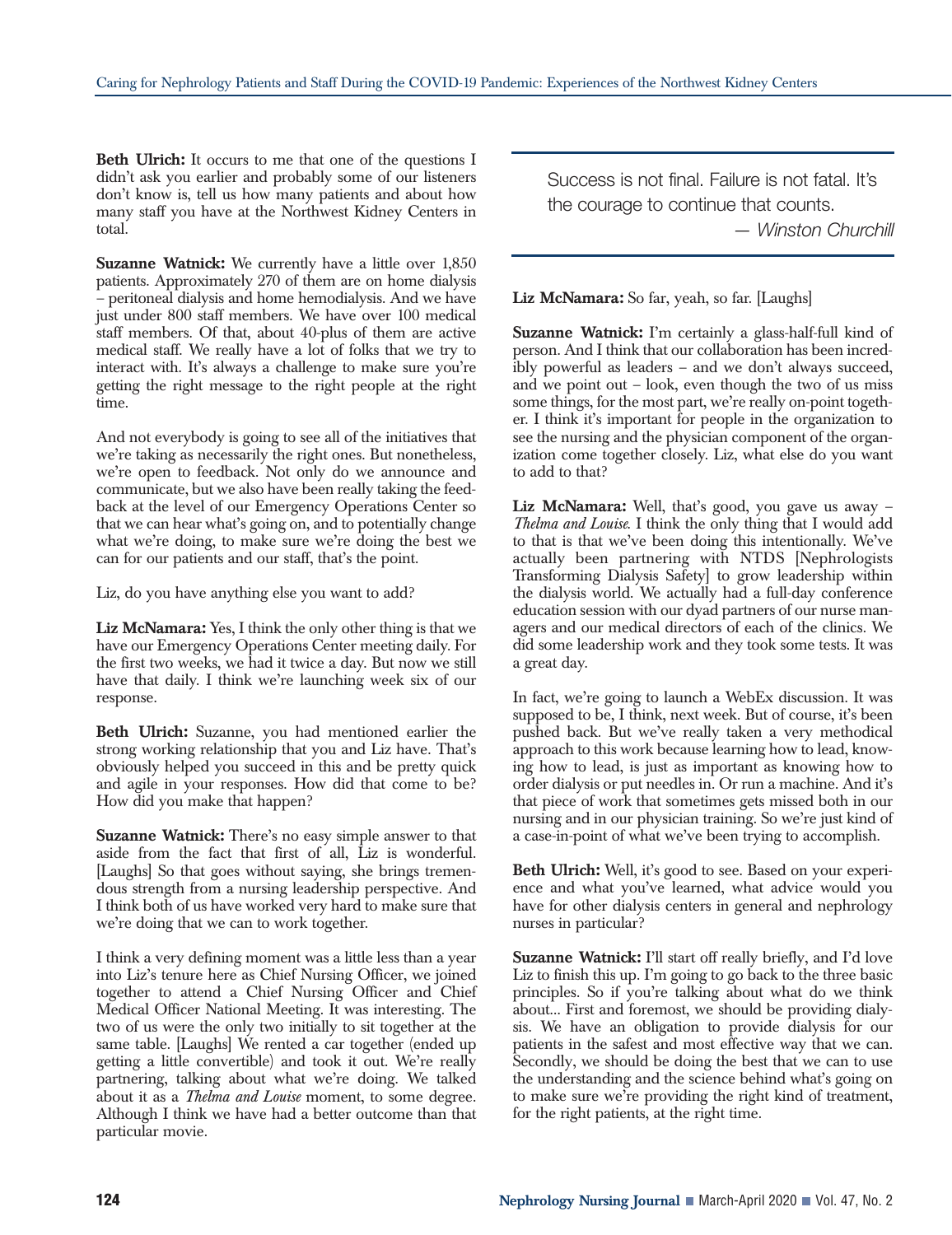**Beth Ulrich:** It occurs to me that one of the questions I didn't ask you earlier and probably some of our listeners don't know is, tell us how many patients and about how many staff you have at the Northwest Kidney Centers in total.

**Suzanne Watnick:** We currently have a little over 1,850 patients. Approximately 270 of them are on home dialysis – peritoneal dialysis and home hemodialysis. And we have just under 800 staff members. We have over 100 medical staff members. Of that, about 40-plus of them are active medical staff. We really have a lot of folks that we try to interact with. It's always a challenge to make sure you're getting the right message to the right people at the right time.

And not everybody is going to see all of the initiatives that we're taking as necessarily the right ones. But nonetheless, we're open to feedback. Not only do we announce and communicate, but we also have been really taking the feedback at the level of our Emergency Operations Center so that we can hear what's going on, and to potentially change what we're doing, to make sure we're doing the best we can for our patients and our staff, that's the point.

Liz, do you have anything else you want to add?

**Liz McNamara:** Yes, I think the only other thing is that we have our Emergency Operations Center meeting daily. For the first two weeks, we had it twice a day. But now we still have that daily. I think we're launching week six of our response.

**Beth Ulrich:** Suzanne, you had mentioned earlier the strong working relationship that you and Liz have. That's obviously helped you succeed in this and be pretty quick and agile in your responses. How did that come to be? How did you make that happen?

**Suzanne Watnick:** There's no easy simple answer to that aside from the fact that first of all, Liz is wonderful. [Laughs] So that goes without saying, she brings tremendous strength from a nursing leadership perspective. And I think both of us have worked very hard to make sure that we're doing that we can to work together.

I think a very defining moment was a little less than a year into Liz's tenure here as Chief Nursing Officer, we joined together to attend a Chief Nursing Officer and Chief Medical Officer National Meeting. It was interesting. The two of us were the only two initially to sit together at the same table. [Laughs] We rented a car together (ended up getting a little convertible) and took it out. We're really partnering, talking about what we're doing. We talked about it as a *Thelma and Louise* moment, to some degree. Although I think we have had a better outcome than that particular movie.

Success is not final. Failure is not fatal. It's the courage to continue that counts. *— Winston Churchill*

**Liz McNamara:** So far, yeah, so far. [Laughs]

**Suzanne Watnick:** I'm certainly a glass-half-full kind of person. And I think that our collaboration has been incredibly powerful as leaders – and we don't always succeed, and we point out – look, even though the two of us miss some things, for the most part, we're really on-point together. I think it's important for people in the organization to see the nursing and the physician component of the organization come together closely. Liz, what else do you want to add to that?

**Liz McNamara:** Well, that's good, you gave us away – *Thelma and Louise*. I think the only thing that I would add to that is that we've been doing this intentionally. We've actually been partnering with NTDS [Nephrologists Transforming Dialysis Safety] to grow leadership within the dialysis world. We actually had a full-day conference education session with our dyad partners of our nurse managers and our medical directors of each of the clinics. We did some leadership work and they took some tests. It was a great day.

In fact, we're going to launch a WebEx discussion. It was supposed to be, I think, next week. But of course, it's been pushed back. But we've really taken a very methodical approach to this work because learning how to lead, knowing how to lead, is just as important as knowing how to order dialysis or put needles in. Or run a machine. And it's that piece of work that sometimes gets missed both in our nursing and in our physician training. So we're just kind of a case-in-point of what we've been trying to accomplish.

**Beth Ulrich:** Well, it's good to see. Based on your experience and what you've learned, what advice would you have for other dialysis centers in general and nephrology nurses in particular?

**Suzanne Watnick:** I'll start off really briefly, and I'd love Liz to finish this up. I'm going to go back to the three basic principles. So if you're talking about what do we think about... First and foremost, we should be providing dialysis. We have an obligation to provide dialysis for our patients in the safest and most effective way that we can. Secondly, we should be doing the best that we can to use the understanding and the science behind what's going on to make sure we're providing the right kind of treatment, for the right patients, at the right time.